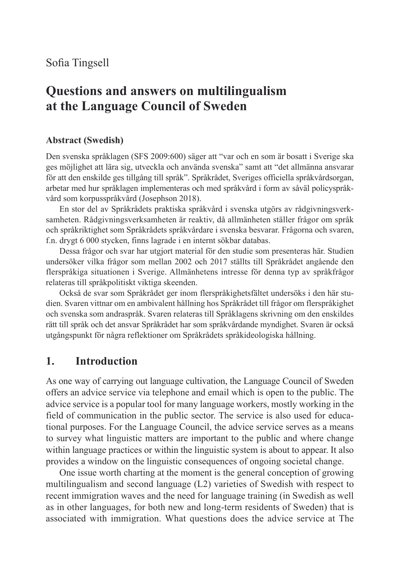# **Questions and answers on multilingualism at the Language Council of Sweden**

#### **Abstract (Swedish)**

Den svenska språklagen (SFS 2009:600) säger att "var och en som är bosatt i Sverige ska ges möjlighet att lära sig, utveckla och använda svenska" samt att "det allmänna ansvarar för att den enskilde ges tillgång till språk". Språkrådet, Sveriges officiella språkvårdsorgan, arbetar med hur språklagen implementeras och med språkvård i form av såväl policyspråkvård som korpusspråkvård (Josephson 2018).

En stor del av Språkrådets praktiska språkvård i svenska utgörs av rådgivningsverksamheten. Rådgivningsverksamheten är reaktiv, då allmänheten ställer frågor om språk och språkriktighet som Språkrådets språkvårdare i svenska besvarar. Frågorna och svaren, f.n. drygt 6 000 stycken, finns lagrade i en internt sökbar databas.

Dessa frågor och svar har utgjort material för den studie som presenteras här. Studien undersöker vilka frågor som mellan 2002 och 2017 ställts till Språkrådet angående den flerspråkiga situationen i Sverige. Allmänhetens intresse för denna typ av språkfrågor relateras till språkpolitiskt viktiga skeenden.

Också de svar som Språkrådet ger inom flerspråkighetsfältet undersöks i den här studien. Svaren vittnar om en ambivalent hållning hos Språkrådet till frågor om flerspråkighet och svenska som andraspråk. Svaren relateras till Språklagens skrivning om den enskildes rätt till språk och det ansvar Språkrådet har som språkvårdande myndighet. Svaren är också utgångspunkt för några reflektioner om Språkrådets språkideologiska hållning.

#### **1. Introduction**

As one way of carrying out language cultivation, the Language Council of Sweden offers an advice service via telephone and email which is open to the public. The advice service is a popular tool for many language workers, mostly working in the field of communication in the public sector. The service is also used for educational purposes. For the Language Council, the advice service serves as a means to survey what linguistic matters are important to the public and where change within language practices or within the linguistic system is about to appear. It also provides a window on the linguistic consequences of ongoing societal change.

One issue worth charting at the moment is the general conception of growing multilingualism and second language (L2) varieties of Swedish with respect to recent immigration waves and the need for language training (in Swedish as well as in other languages, for both new and long-term residents of Sweden) that is associated with immigration. What questions does the advice service at The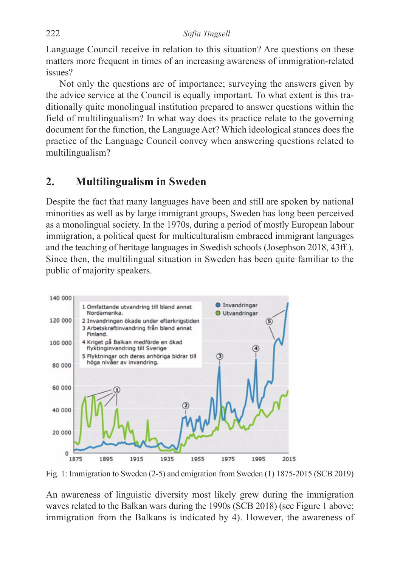Language Council receive in relation to this situation? Are questions on these matters more frequent in times of an increasing awareness of immigration-related issues?

Not only the questions are of importance; surveying the answers given by the advice service at the Council is equally important. To what extent is this traditionally quite monolingual institution prepared to answer questions within the field of multilingualism? In what way does its practice relate to the governing document for the function, the Language Act? Which ideological stances does the practice of the Language Council convey when answering questions related to multilingualism?

#### **2. Multilingualism in Sweden**

Despite the fact that many languages have been and still are spoken by national minorities as well as by large immigrant groups, Sweden has long been perceived as a monolingual society. In the 1970s, during a period of mostly European labour immigration, a political quest for multiculturalism embraced immigrant languages and the teaching of heritage languages in Swedish schools (Josephson 2018, 43ff.). Since then, the multilingual situation in Sweden has been quite familiar to the public of majority speakers.



Fig. 1: Immigration to Sweden (2-5) and emigration from Sweden (1) 1875-2015 (SCB 2019)

An awareness of linguistic diversity most likely grew during the immigration waves related to the Balkan wars during the 1990s (SCB 2018) (see Figure 1 above; immigration from the Balkans is indicated by 4). However, the awareness of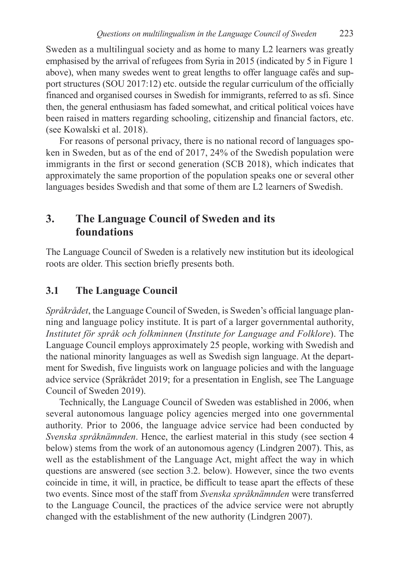Sweden as a multilingual society and as home to many L2 learners was greatly emphasised by the arrival of refugees from Syria in 2015 (indicated by 5 in Figure 1 above), when many swedes went to great lengths to offer language cafés and support structures (SOU 2017:12) etc. outside the regular curriculum of the officially financed and organised courses in Swedish for immigrants, referred to as sfi. Since then, the general enthusiasm has faded somewhat, and critical political voices have been raised in matters regarding schooling, citizenship and financial factors, etc. (see Kowalski et al. 2018).

For reasons of personal privacy, there is no national record of languages spoken in Sweden, but as of the end of 2017, 24% of the Swedish population were immigrants in the first or second generation (SCB 2018), which indicates that approximately the same proportion of the population speaks one or several other languages besides Swedish and that some of them are L2 learners of Swedish.

### **3. The Language Council of Sweden and its foundations**

The Language Council of Sweden is a relatively new institution but its ideological roots are older. This section briefly presents both.

### **3.1 The Language Council**

*Språkrådet*, the Language Council of Sweden, is Sweden's official language planning and language policy institute. It is part of a larger governmental authority, *Institutet för språk och folkminnen* (*Institute for Language and Folklore*). The Language Council employs approximately 25 people, working with Swedish and the national minority languages as well as Swedish sign language. At the department for Swedish, five linguists work on language policies and with the language advice service (Språkrådet 2019; for a presentation in English, see The Language Council of Sweden 2019).

Technically, the Language Council of Sweden was established in 2006, when several autonomous language policy agencies merged into one governmental authority. Prior to 2006, the language advice service had been conducted by *Svenska språknämnden*. Hence, the earliest material in this study (see section 4 below) stems from the work of an autonomous agency (Lindgren 2007). This, as well as the establishment of the Language Act, might affect the way in which questions are answered (see section 3.2. below). However, since the two events coincide in time, it will, in practice, be difficult to tease apart the effects of these two events. Since most of the staff from *Svenska språknämnden* were transferred to the Language Council, the practices of the advice service were not abruptly changed with the establishment of the new authority (Lindgren 2007).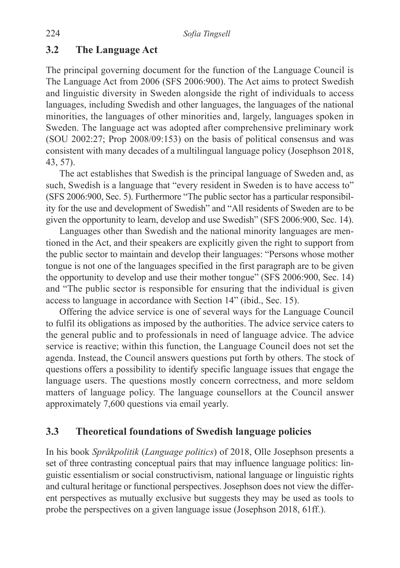#### **3.2 The Language Act**

The principal governing document for the function of the Language Council is The Language Act from 2006 (SFS 2006:900). The Act aims to protect Swedish and linguistic diversity in Sweden alongside the right of individuals to access languages, including Swedish and other languages, the languages of the national minorities, the languages of other minorities and, largely, languages spoken in Sweden. The language act was adopted after comprehensive preliminary work (SOU 2002:27; Prop 2008/09:153) on the basis of political consensus and was consistent with many decades of a multilingual language policy (Josephson 2018, 43, 57).

The act establishes that Swedish is the principal language of Sweden and, as such, Swedish is a language that "every resident in Sweden is to have access to" (SFS 2006:900, Sec. 5). Furthermore "The public sector has a particular responsibility for the use and development of Swedish" and "All residents of Sweden are to be given the opportunity to learn, develop and use Swedish" (SFS 2006:900, Sec. 14).

Languages other than Swedish and the national minority languages are mentioned in the Act, and their speakers are explicitly given the right to support from the public sector to maintain and develop their languages: "Persons whose mother tongue is not one of the languages specified in the first paragraph are to be given the opportunity to develop and use their mother tongue" (SFS 2006:900, Sec. 14) and "The public sector is responsible for ensuring that the individual is given access to language in accordance with Section 14" (ibid., Sec. 15).

Offering the advice service is one of several ways for the Language Council to fulfil its obligations as imposed by the authorities. The advice service caters to the general public and to professionals in need of language advice. The advice service is reactive; within this function, the Language Council does not set the agenda. Instead, the Council answers questions put forth by others. The stock of questions offers a possibility to identify specific language issues that engage the language users. The questions mostly concern correctness, and more seldom matters of language policy. The language counsellors at the Council answer approximately 7,600 questions via email yearly.

#### **3.3 Theoretical foundations of Swedish language policies**

In his book *Språkpolitik* (*Language politics*) of 2018, Olle Josephson presents a set of three contrasting conceptual pairs that may influence language politics: linguistic essentialism or social constructivism, national language or linguistic rights and cultural heritage or functional perspectives. Josephson does not view the different perspectives as mutually exclusive but suggests they may be used as tools to probe the perspectives on a given language issue (Josephson 2018, 61ff.).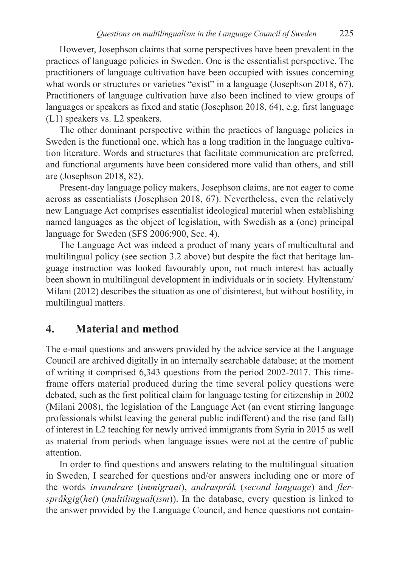However, Josephson claims that some perspectives have been prevalent in the practices of language policies in Sweden. One is the essentialist perspective. The practitioners of language cultivation have been occupied with issues concerning what words or structures or varieties "exist" in a language (Josephson 2018, 67). Practitioners of language cultivation have also been inclined to view groups of languages or speakers as fixed and static (Josephson 2018, 64), e.g. first language (L1) speakers vs. L2 speakers.

The other dominant perspective within the practices of language policies in Sweden is the functional one, which has a long tradition in the language cultivation literature. Words and structures that facilitate communication are preferred, and functional arguments have been considered more valid than others, and still are (Josephson 2018, 82).

Present-day language policy makers, Josephson claims, are not eager to come across as essentialists (Josephson 2018, 67). Nevertheless, even the relatively new Language Act comprises essentialist ideological material when establishing named languages as the object of legislation, with Swedish as a (one) principal language for Sweden (SFS 2006:900, Sec. 4).

The Language Act was indeed a product of many years of multicultural and multilingual policy (see section 3.2 above) but despite the fact that heritage language instruction was looked favourably upon, not much interest has actually been shown in multilingual development in individuals or in society. Hyltenstam/ Milani (2012) describes the situation as one of disinterest, but without hostility, in multilingual matters.

### **4. Material and method**

The e-mail questions and answers provided by the advice service at the Language Council are archived digitally in an internally searchable database; at the moment of writing it comprised 6,343 questions from the period 2002-2017. This timeframe offers material produced during the time several policy questions were debated, such as the first political claim for language testing for citizenship in 2002 (Milani 2008), the legislation of the Language Act (an event stirring language professionals whilst leaving the general public indifferent) and the rise (and fall) of interest in L2 teaching for newly arrived immigrants from Syria in 2015 as well as material from periods when language issues were not at the centre of public attention.

In order to find questions and answers relating to the multilingual situation in Sweden, I searched for questions and/or answers including one or more of the words *invandrare* (*immigrant*), *andraspråk* (*second language*) and *flerspråkgig*(*het*) (*multilingual*(*ism*)). In the database, every question is linked to the answer provided by the Language Council, and hence questions not contain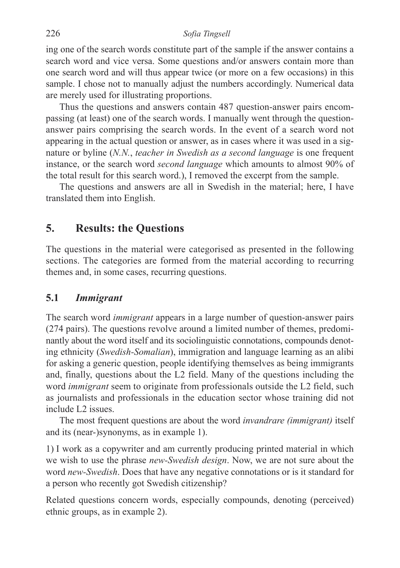ing one of the search words constitute part of the sample if the answer contains a search word and vice versa. Some questions and/or answers contain more than one search word and will thus appear twice (or more on a few occasions) in this sample. I chose not to manually adjust the numbers accordingly. Numerical data are merely used for illustrating proportions.

Thus the questions and answers contain 487 question-answer pairs encompassing (at least) one of the search words. I manually went through the questionanswer pairs comprising the search words. In the event of a search word not appearing in the actual question or answer, as in cases where it was used in a signature or byline (*N.N.*, *teacher in Swedish as a second language* is one frequent instance, or the search word *second language* which amounts to almost 90% of the total result for this search word.), I removed the excerpt from the sample.

The questions and answers are all in Swedish in the material; here, I have translated them into English.

#### **5. Results: the Questions**

The questions in the material were categorised as presented in the following sections. The categories are formed from the material according to recurring themes and, in some cases, recurring questions.

#### **5.1** *Immigrant*

The search word *immigrant* appears in a large number of question-answer pairs (274 pairs). The questions revolve around a limited number of themes, predominantly about the word itself and its sociolinguistic connotations, compounds denoting ethnicity (*Swedish-Somalian*), immigration and language learning as an alibi for asking a generic question, people identifying themselves as being immigrants and, finally, questions about the L2 field. Many of the questions including the word *immigrant* seem to originate from professionals outside the L2 field, such as journalists and professionals in the education sector whose training did not include L2 issues.

The most frequent questions are about the word *invandrare (immigrant)* itself and its (near-)synonyms, as in example 1).

1) I work as a copywriter and am currently producing printed material in which we wish to use the phrase *new-Swedish design*. Now, we are not sure about the word *new-Swedish*. Does that have any negative connotations or is it standard for a person who recently got Swedish citizenship?

Related questions concern words, especially compounds, denoting (perceived) ethnic groups, as in example 2).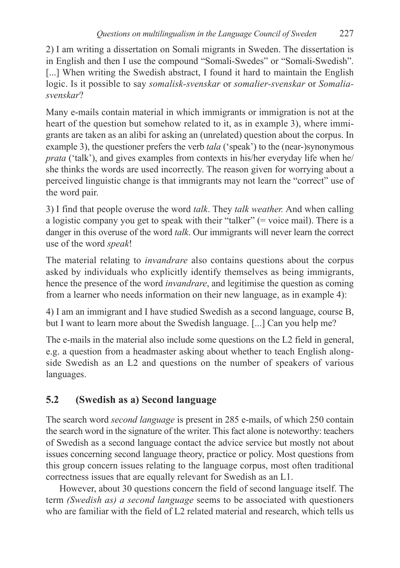2) I am writing a dissertation on Somali migrants in Sweden. The dissertation is in English and then I use the compound "Somali-Swedes" or "Somali-Swedish". [...] When writing the Swedish abstract, I found it hard to maintain the English logic. Is it possible to say *somalisk-svenskar* or *somalier-svenskar* or *Somaliasvenskar*?

Many e-mails contain material in which immigrants or immigration is not at the heart of the question but somehow related to it, as in example 3), where immigrants are taken as an alibi for asking an (unrelated) question about the corpus. In example 3), the questioner prefers the verb *tala* ('speak') to the (near-)synonymous *prata* ('talk'), and gives examples from contexts in his/her everyday life when he/ she thinks the words are used incorrectly. The reason given for worrying about a perceived linguistic change is that immigrants may not learn the "correct" use of the word pair.

3) I find that people overuse the word *talk*. They *talk weather.* And when calling a logistic company you get to speak with their "talker" (= voice mail). There is a danger in this overuse of the word *talk*. Our immigrants will never learn the correct use of the word *speak*!

The material relating to *invandrare* also contains questions about the corpus asked by individuals who explicitly identify themselves as being immigrants, hence the presence of the word *invandrare*, and legitimise the question as coming from a learner who needs information on their new language, as in example 4):

4) I am an immigrant and I have studied Swedish as a second language, course B, but I want to learn more about the Swedish language. [...] Can you help me?

The e-mails in the material also include some questions on the L2 field in general, e.g. a question from a headmaster asking about whether to teach English alongside Swedish as an L2 and questions on the number of speakers of various languages.

## **5.2 (Swedish as a) Second language**

The search word *second language* is present in 285 e-mails, of which 250 contain the search word in the signature of the writer. This fact alone is noteworthy: teachers of Swedish as a second language contact the advice service but mostly not about issues concerning second language theory, practice or policy. Most questions from this group concern issues relating to the language corpus, most often traditional correctness issues that are equally relevant for Swedish as an L1.

However, about 30 questions concern the field of second language itself. The term *(Swedish as) a second language* seems to be associated with questioners who are familiar with the field of L2 related material and research, which tells us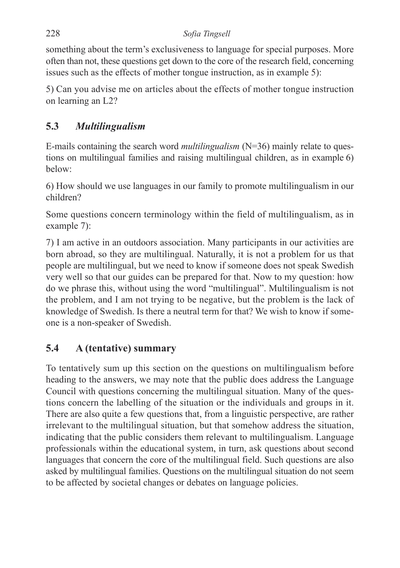something about the term's exclusiveness to language for special purposes. More often than not, these questions get down to the core of the research field, concerning issues such as the effects of mother tongue instruction, as in example 5):

5) Can you advise me on articles about the effects of mother tongue instruction on learning an L2?

## **5.3** *Multilingualism*

E-mails containing the search word *multilingualism* (N=36) mainly relate to questions on multilingual families and raising multilingual children, as in example 6) below:

6) How should we use languages in our family to promote multilingualism in our children?

Some questions concern terminology within the field of multilingualism, as in example 7):

7) I am active in an outdoors association. Many participants in our activities are born abroad, so they are multilingual. Naturally, it is not a problem for us that people are multilingual, but we need to know if someone does not speak Swedish very well so that our guides can be prepared for that. Now to my question: how do we phrase this, without using the word "multilingual". Multilingualism is not the problem, and I am not trying to be negative, but the problem is the lack of knowledge of Swedish. Is there a neutral term for that? We wish to know if someone is a non-speaker of Swedish.

## **5.4 A (tentative) summary**

To tentatively sum up this section on the questions on multilingualism before heading to the answers, we may note that the public does address the Language Council with questions concerning the multilingual situation. Many of the questions concern the labelling of the situation or the individuals and groups in it. There are also quite a few questions that, from a linguistic perspective, are rather irrelevant to the multilingual situation, but that somehow address the situation, indicating that the public considers them relevant to multilingualism. Language professionals within the educational system, in turn, ask questions about second languages that concern the core of the multilingual field. Such questions are also asked by multilingual families. Questions on the multilingual situation do not seem to be affected by societal changes or debates on language policies.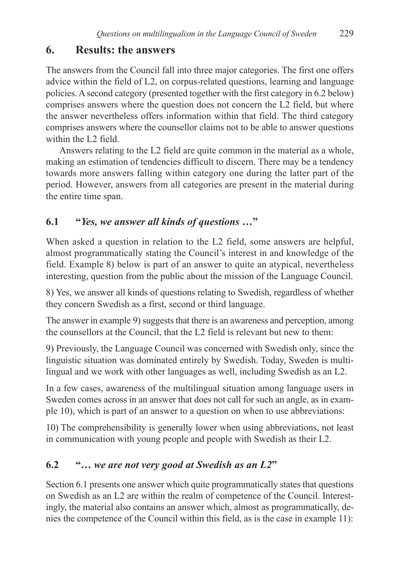## **6. Results: the answers**

The answers from the Council fall into three major categories. The first one offers advice within the field of L2, on corpus-related questions, learning and language policies. A second category (presented together with the first category in 6.2 below) comprises answers where the question does not concern the L2 field, but where the answer nevertheless offers information within that field. The third category comprises answers where the counsellor claims not to be able to answer questions within the L2 field.

Answers relating to the L2 field are quite common in the material as a whole, making an estimation of tendencies difficult to discern. There may be a tendency towards more answers falling within category one during the latter part of the period. However, answers from all categories are present in the material during the entire time span.

## **6.1 "***Yes, we answer all kinds of questions* **…"**

When asked a question in relation to the L2 field, some answers are helpful, almost programmatically stating the Council's interest in and knowledge of the field. Example 8) below is part of an answer to quite an atypical, nevertheless interesting, question from the public about the mission of the Language Council.

8) Yes, we answer all kinds of questions relating to Swedish, regardless of whether they concern Swedish as a first, second or third language.

The answer in example 9) suggests that there is an awareness and perception, among the counsellors at the Council, that the L2 field is relevant but new to them:

9) Previously, the Language Council was concerned with Swedish only, since the linguistic situation was dominated entirely by Swedish. Today, Sweden is multilingual and we work with other languages as well, including Swedish as an L2.

In a few cases, awareness of the multilingual situation among language users in Sweden comes across in an answer that does not call for such an angle, as in example 10), which is part of an answer to a question on when to use abbreviations:

10) The comprehensibility is generally lower when using abbreviations, not least in communication with young people and people with Swedish as their L2.

## **6.2 "…** *we are not very good at Swedish as an L2***"**

Section 6.1 presents one answer which quite programmatically states that questions on Swedish as an L2 are within the realm of competence of the Council. Interestingly, the material also contains an answer which, almost as programmatically, denies the competence of the Council within this field, as is the case in example 11):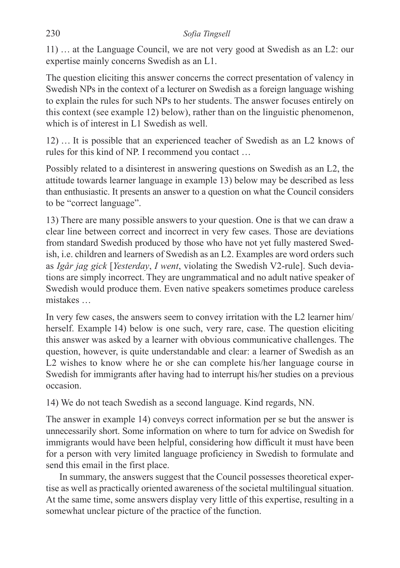11) … at the Language Council, we are not very good at Swedish as an L2: our expertise mainly concerns Swedish as an L1.

The question eliciting this answer concerns the correct presentation of valency in Swedish NPs in the context of a lecturer on Swedish as a foreign language wishing to explain the rules for such NPs to her students. The answer focuses entirely on this context (see example 12) below), rather than on the linguistic phenomenon, which is of interest in L1 Swedish as well.

12) … It is possible that an experienced teacher of Swedish as an L2 knows of rules for this kind of NP. I recommend you contact …

Possibly related to a disinterest in answering questions on Swedish as an L2, the attitude towards learner language in example 13) below may be described as less than enthusiastic. It presents an answer to a question on what the Council considers to be "correct language".

13) There are many possible answers to your question. One is that we can draw a clear line between correct and incorrect in very few cases. Those are deviations from standard Swedish produced by those who have not yet fully mastered Swedish, i.e. children and learners of Swedish as an L2. Examples are word orders such as *Igår jag gick* [*Yesterday*, *I went*, violating the Swedish V2-rule]. Such deviations are simply incorrect. They are ungrammatical and no adult native speaker of Swedish would produce them. Even native speakers sometimes produce careless mistakes …

In very few cases, the answers seem to convey irritation with the L2 learner him/ herself. Example 14) below is one such, very rare, case. The question eliciting this answer was asked by a learner with obvious communicative challenges. The question, however, is quite understandable and clear: a learner of Swedish as an L2 wishes to know where he or she can complete his/her language course in Swedish for immigrants after having had to interrupt his/her studies on a previous occasion.

14) We do not teach Swedish as a second language. Kind regards, NN.

The answer in example 14) conveys correct information per se but the answer is unnecessarily short. Some information on where to turn for advice on Swedish for immigrants would have been helpful, considering how difficult it must have been for a person with very limited language proficiency in Swedish to formulate and send this email in the first place.

In summary, the answers suggest that the Council possesses theoretical expertise as well as practically oriented awareness of the societal multilingual situation. At the same time, some answers display very little of this expertise, resulting in a somewhat unclear picture of the practice of the function.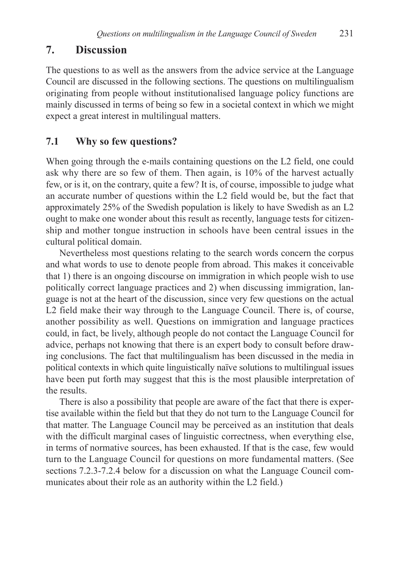### **7. Discussion**

The questions to as well as the answers from the advice service at the Language Council are discussed in the following sections. The questions on multilingualism originating from people without institutionalised language policy functions are mainly discussed in terms of being so few in a societal context in which we might expect a great interest in multilingual matters.

### **7.1 Why so few questions?**

When going through the e-mails containing questions on the L2 field, one could ask why there are so few of them. Then again, is 10% of the harvest actually few, or is it, on the contrary, quite a few? It is, of course, impossible to judge what an accurate number of questions within the L2 field would be, but the fact that approximately 25% of the Swedish population is likely to have Swedish as an L2 ought to make one wonder about this result as recently, language tests for citizenship and mother tongue instruction in schools have been central issues in the cultural political domain.

Nevertheless most questions relating to the search words concern the corpus and what words to use to denote people from abroad. This makes it conceivable that 1) there is an ongoing discourse on immigration in which people wish to use politically correct language practices and 2) when discussing immigration, language is not at the heart of the discussion, since very few questions on the actual L2 field make their way through to the Language Council. There is, of course, another possibility as well. Questions on immigration and language practices could, in fact, be lively, although people do not contact the Language Council for advice, perhaps not knowing that there is an expert body to consult before drawing conclusions. The fact that multilingualism has been discussed in the media in political contexts in which quite linguistically naïve solutions to multilingual issues have been put forth may suggest that this is the most plausible interpretation of the results.

There is also a possibility that people are aware of the fact that there is expertise available within the field but that they do not turn to the Language Council for that matter. The Language Council may be perceived as an institution that deals with the difficult marginal cases of linguistic correctness, when everything else, in terms of normative sources, has been exhausted. If that is the case, few would turn to the Language Council for questions on more fundamental matters. (See sections 7.2.3-7.2.4 below for a discussion on what the Language Council communicates about their role as an authority within the L2 field.)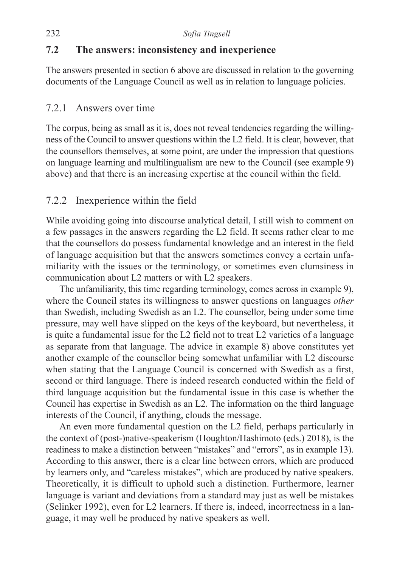### **7.2 The answers: inconsistency and inexperience**

The answers presented in section 6 above are discussed in relation to the governing documents of the Language Council as well as in relation to language policies.

#### 7.2.1 Answers over time

The corpus, being as small as it is, does not reveal tendencies regarding the willingness of the Council to answer questions within the L2 field. It is clear, however, that the counsellors themselves, at some point, are under the impression that questions on language learning and multilingualism are new to the Council (see example 9) above) and that there is an increasing expertise at the council within the field.

### 7.2.2 Inexperience within the field

While avoiding going into discourse analytical detail, I still wish to comment on a few passages in the answers regarding the L2 field. It seems rather clear to me that the counsellors do possess fundamental knowledge and an interest in the field of language acquisition but that the answers sometimes convey a certain unfamiliarity with the issues or the terminology, or sometimes even clumsiness in communication about L2 matters or with L2 speakers.

The unfamiliarity, this time regarding terminology, comes across in example 9), where the Council states its willingness to answer questions on languages *other* than Swedish, including Swedish as an L2. The counsellor, being under some time pressure, may well have slipped on the keys of the keyboard, but nevertheless, it is quite a fundamental issue for the L2 field not to treat L2 varieties of a language as separate from that language. The advice in example 8) above constitutes yet another example of the counsellor being somewhat unfamiliar with L2 discourse when stating that the Language Council is concerned with Swedish as a first, second or third language. There is indeed research conducted within the field of third language acquisition but the fundamental issue in this case is whether the Council has expertise in Swedish as an L2. The information on the third language interests of the Council, if anything, clouds the message.

An even more fundamental question on the L2 field, perhaps particularly in the context of (post-)native-speakerism (Houghton/Hashimoto (eds.) 2018), is the readiness to make a distinction between "mistakes" and "errors", as in example 13). According to this answer, there is a clear line between errors, which are produced by learners only, and "careless mistakes", which are produced by native speakers. Theoretically, it is difficult to uphold such a distinction. Furthermore, learner language is variant and deviations from a standard may just as well be mistakes (Selinker 1992), even for L2 learners. If there is, indeed, incorrectness in a language, it may well be produced by native speakers as well.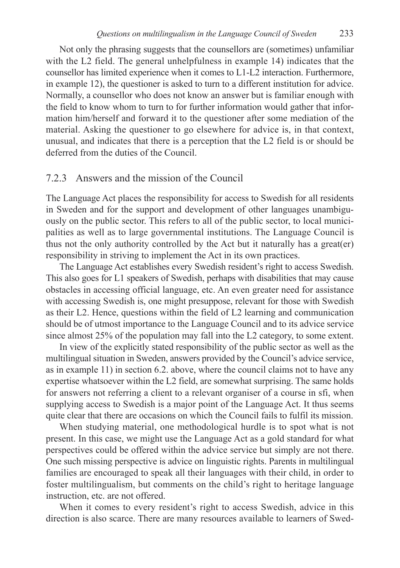Not only the phrasing suggests that the counsellors are (sometimes) unfamiliar with the L2 field. The general unhelpfulness in example 14) indicates that the counsellor has limited experience when it comes to L1-L2 interaction. Furthermore, in example 12), the questioner is asked to turn to a different institution for advice. Normally, a counsellor who does not know an answer but is familiar enough with the field to know whom to turn to for further information would gather that information him/herself and forward it to the questioner after some mediation of the material. Asking the questioner to go elsewhere for advice is, in that context, unusual, and indicates that there is a perception that the L2 field is or should be deferred from the duties of the Council.

#### 7.2.3 Answers and the mission of the Council

The Language Act places the responsibility for access to Swedish for all residents in Sweden and for the support and development of other languages unambiguously on the public sector. This refers to all of the public sector, to local municipalities as well as to large governmental institutions. The Language Council is thus not the only authority controlled by the Act but it naturally has a great(er) responsibility in striving to implement the Act in its own practices.

The Language Act establishes every Swedish resident's right to access Swedish. This also goes for L1 speakers of Swedish, perhaps with disabilities that may cause obstacles in accessing official language, etc. An even greater need for assistance with accessing Swedish is, one might presuppose, relevant for those with Swedish as their L2. Hence, questions within the field of L2 learning and communication should be of utmost importance to the Language Council and to its advice service since almost 25% of the population may fall into the L2 category, to some extent.

In view of the explicitly stated responsibility of the public sector as well as the multilingual situation in Sweden, answers provided by the Council's advice service, as in example 11) in section 6.2. above, where the council claims not to have any expertise whatsoever within the L2 field, are somewhat surprising. The same holds for answers not referring a client to a relevant organiser of a course in sfi, when supplying access to Swedish is a major point of the Language Act. It thus seems quite clear that there are occasions on which the Council fails to fulfil its mission.

When studying material, one methodological hurdle is to spot what is not present. In this case, we might use the Language Act as a gold standard for what perspectives could be offered within the advice service but simply are not there. One such missing perspective is advice on linguistic rights. Parents in multilingual families are encouraged to speak all their languages with their child, in order to foster multilingualism, but comments on the child's right to heritage language instruction, etc. are not offered.

When it comes to every resident's right to access Swedish, advice in this direction is also scarce. There are many resources available to learners of Swed-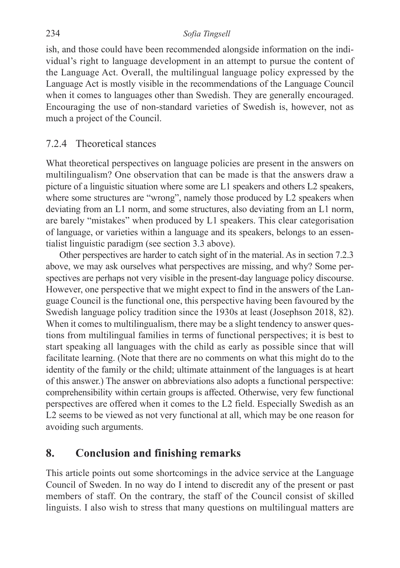ish, and those could have been recommended alongside information on the individual's right to language development in an attempt to pursue the content of the Language Act. Overall, the multilingual language policy expressed by the Language Act is mostly visible in the recommendations of the Language Council when it comes to languages other than Swedish. They are generally encouraged. Encouraging the use of non-standard varieties of Swedish is, however, not as much a project of the Council.

#### 7.2.4 Theoretical stances

What theoretical perspectives on language policies are present in the answers on multilingualism? One observation that can be made is that the answers draw a picture of a linguistic situation where some are L1 speakers and others L2 speakers, where some structures are "wrong", namely those produced by L2 speakers when deviating from an L1 norm, and some structures, also deviating from an L1 norm, are barely "mistakes" when produced by L1 speakers. This clear categorisation of language, or varieties within a language and its speakers, belongs to an essentialist linguistic paradigm (see section 3.3 above).

Other perspectives are harder to catch sight of in the material. As in section 7.2.3 above, we may ask ourselves what perspectives are missing, and why? Some perspectives are perhaps not very visible in the present-day language policy discourse. However, one perspective that we might expect to find in the answers of the Language Council is the functional one, this perspective having been favoured by the Swedish language policy tradition since the 1930s at least (Josephson 2018, 82). When it comes to multilingualism, there may be a slight tendency to answer questions from multilingual families in terms of functional perspectives; it is best to start speaking all languages with the child as early as possible since that will facilitate learning. (Note that there are no comments on what this might do to the identity of the family or the child; ultimate attainment of the languages is at heart of this answer.) The answer on abbreviations also adopts a functional perspective: comprehensibility within certain groups is affected. Otherwise, very few functional perspectives are offered when it comes to the L2 field. Especially Swedish as an L2 seems to be viewed as not very functional at all, which may be one reason for avoiding such arguments.

#### **8. Conclusion and finishing remarks**

This article points out some shortcomings in the advice service at the Language Council of Sweden. In no way do I intend to discredit any of the present or past members of staff. On the contrary, the staff of the Council consist of skilled linguists. I also wish to stress that many questions on multilingual matters are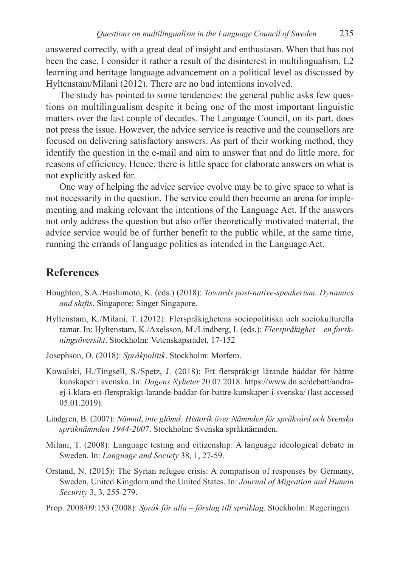answered correctly, with a great deal of insight and enthusiasm. When that has not been the case, I consider it rather a result of the disinterest in multilingualism, L2 learning and heritage language advancement on a political level as discussed by Hyltenstam/Milani (2012). There are no bad intentions involved.

The study has pointed to some tendencies: the general public asks few questions on multilingualism despite it being one of the most important linguistic matters over the last couple of decades. The Language Council, on its part, does not press the issue. However, the advice service is reactive and the counsellors are focused on delivering satisfactory answers. As part of their working method, they identify the question in the e-mail and aim to answer that and do little more, for reasons of efficiency. Hence, there is little space for elaborate answers on what is not explicitly asked for.

One way of helping the advice service evolve may be to give space to what is not necessarily in the question. The service could then become an arena for implementing and making relevant the intentions of the Language Act. If the answers not only address the question but also offer theoretically motivated material, the advice service would be of further benefit to the public while, at the same time, running the errands of language politics as intended in the Language Act.

#### **References**

- Houghton, S.A./Hashimoto, K. (eds.) (2018): *Towards post-native-speakerism. Dynamics and shifts*. Singapore: Singer Singapore.
- Hyltenstam, K./Milani, T. (2012): Flerspråkighetens sociopolitiska och sociokulturella ramar. In: Hyltenstam, K./Axelsson, M./Lindberg, I. (eds.): *Flerspråkighet – en forskningsöversikt*. Stockholm: Vetenskapsrådet, 17*-*152
- Josephson, O. (2018): *Språkpolitik*. Stockholm: Morfem.
- Kowalski, H./Tingsell, S./Spetz, J. (2018): Ett flerspråkigt lärande bäddar för bättre kunskaper i svenska. In: *Dagens Nyheter* 20.07.2018. https://www.dn.se/debatt/andraej-i-klara-ett-flersprakigt-larande-baddar-for-battre-kunskaper-i-svenska/ (last accessed 05.01.2019).
- Lindgren, B. (2007): *Nämnd*, *inte glömd: Historik över Nämnden för språkvård och Svenska språknämnden 1944-2007*. Stockholm: Svenska språknämnden.
- Milani, T. (2008): Language testing and citizenship: A language ideological debate in Sweden. In: *Language and Society* 38, 1, 27*-*59.
- Orstand, N. (2015): The Syrian refugee crisis: A comparison of responses by Germany, Sweden, United Kingdom and the United States. In: *Journal of Migration and Human Security* 3, 3, 255*-*279.
- Prop. 2008/09:153 (2008): *Språk för alla förslag till språklag*. Stockholm: Regeringen.